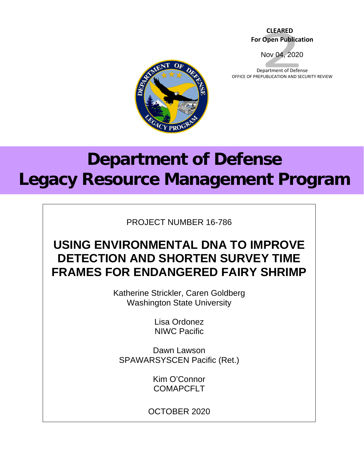#### **CLEARED For Open Publication**

Nov 04, 2020

Department of Defense OFFICE OF PREPUBLICATION AND SECURITY REVIEW



# **Department of Defense Legacy Resource Management Program**

PROJECT NUMBER 16-786

# **USING ENVIRONMENTAL DNA TO IMPROVE DETECTION AND SHORTEN SURVEY TIME FRAMES FOR ENDANGERED FAIRY SHRIMP**

Katherine Strickler, Caren Goldberg Washington State University

> Lisa Ordonez NIWC Pacific

Dawn Lawson SPAWARSYSCEN Pacific (Ret.)

> Kim O'Connor **COMAPCFLT**

OCTOBER 2020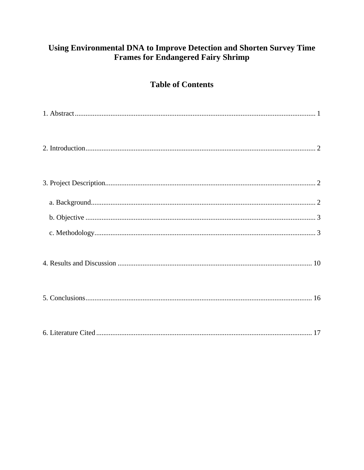### Using Environmental DNA to Improve Detection and Shorten Survey Time **Frames for Endangered Fairy Shrimp**

## **Table of Contents**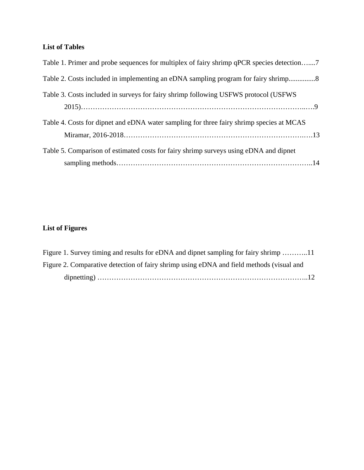#### **List of Tables**

| Table 1. Primer and probe sequences for multiplex of fairy shrimp qPCR species detection7 |  |
|-------------------------------------------------------------------------------------------|--|
| Table 2. Costs included in implementing an eDNA sampling program for fairy shrimp         |  |
| Table 3. Costs included in surveys for fairy shrimp following USFWS protocol (USFWS       |  |
| Table 4. Costs for dipnet and eDNA water sampling for three fairy shrimp species at MCAS  |  |
| Table 5. Comparison of estimated costs for fairy shrimp surveys using eDNA and dipnet     |  |

#### **List of Figures**

| Figure 1. Survey timing and results for eDNA and dipnet sampling for fairy shrimp 11     |
|------------------------------------------------------------------------------------------|
| Figure 2. Comparative detection of fairy shrimp using eDNA and field methods (visual and |
|                                                                                          |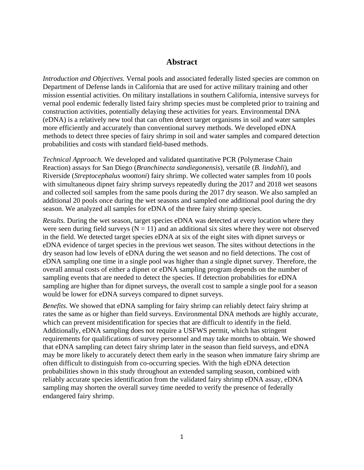#### **Abstract**

<span id="page-3-0"></span>*Introduction and Objectives.* Vernal pools and associated federally listed species are common on Department of Defense lands in California that are used for active military training and other mission essential activities. On military installations in southern California, intensive surveys for vernal pool endemic federally listed fairy shrimp species must be completed prior to training and construction activities, potentially delaying these activities for years. Environmental DNA (eDNA) is a relatively new tool that can often detect target organisms in soil and water samples more efficiently and accurately than conventional survey methods. We developed eDNA methods to detect three species of fairy shrimp in soil and water samples and compared detection probabilities and costs with standard field-based methods.

*Technical Approach.* We developed and validated quantitative PCR (Polymerase Chain Reaction) assays for San Diego (*Branchinecta sandiegonensis*), versatile (*B. lindahli*), and Riverside (*Streptocephalus woottoni*) fairy shrimp. We collected water samples from 10 pools with simultaneous dipnet fairy shrimp surveys repeatedly during the 2017 and 2018 wet seasons and collected soil samples from the same pools during the 2017 dry season. We also sampled an additional 20 pools once during the wet seasons and sampled one additional pool during the dry season. We analyzed all samples for eDNA of the three fairy shrimp species.

*Results.* During the wet season, target species eDNA was detected at every location where they were seen during field surveys ( $N = 11$ ) and an additional six sites where they were not observed in the field. We detected target species eDNA at six of the eight sites with dipnet surveys or eDNA evidence of target species in the previous wet season. The sites without detections in the dry season had low levels of eDNA during the wet season and no field detections. The cost of eDNA sampling one time in a single pool was higher than a single dipnet survey. Therefore, the overall annual costs of either a dipnet or eDNA sampling program depends on the number of sampling events that are needed to detect the species. If detection probabilities for eDNA sampling are higher than for dipnet surveys, the overall cost to sample a single pool for a season would be lower for eDNA surveys compared to dipnet surveys.

*Benefits.* We showed that eDNA sampling for fairy shrimp can reliably detect fairy shrimp at rates the same as or higher than field surveys. Environmental DNA methods are highly accurate, which can prevent misidentification for species that are difficult to identify in the field. Additionally, eDNA sampling does not require a USFWS permit, which has stringent requirements for qualifications of survey personnel and may take months to obtain. We showed that eDNA sampling can detect fairy shrimp later in the season than field surveys, and eDNA may be more likely to accurately detect them early in the season when immature fairy shrimp are often difficult to distinguish from co-occurring species. With the high eDNA detection probabilities shown in this study throughout an extended sampling season, combined with reliably accurate species identification from the validated fairy shrimp eDNA assay, eDNA sampling may shorten the overall survey time needed to verify the presence of federally endangered fairy shrimp.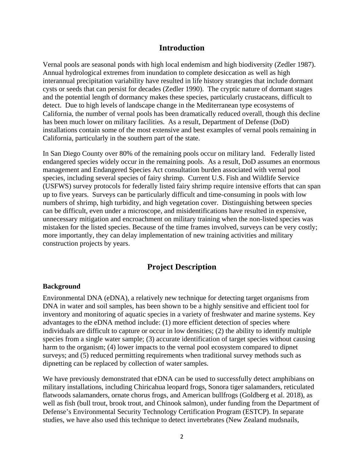#### **Introduction**

<span id="page-4-0"></span>Vernal pools are seasonal ponds with high local endemism and high biodiversity (Zedler 1987). Annual hydrological extremes from inundation to complete desiccation as well as high interannual precipitation variability have resulted in life history strategies that include dormant cysts or seeds that can persist for decades (Zedler 1990). The cryptic nature of dormant stages and the potential length of dormancy makes these species, particularly crustaceans, difficult to detect. Due to high levels of landscape change in the Mediterranean type ecosystems of California, the number of vernal pools has been dramatically reduced overall, though this decline has been much lower on military facilities. As a result, Department of Defense (DoD) installations contain some of the most extensive and best examples of vernal pools remaining in California, particularly in the southern part of the state.

In San Diego County over 80% of the remaining pools occur on military land. Federally listed endangered species widely occur in the remaining pools. As a result, DoD assumes an enormous management and Endangered Species Act consultation burden associated with vernal pool species, including several species of fairy shrimp. Current U.S. Fish and Wildlife Service (USFWS) survey protocols for federally listed fairy shrimp require intensive efforts that can span up to five years. Surveys can be particularly difficult and time-consuming in pools with low numbers of shrimp, high turbidity, and high vegetation cover. Distinguishing between species can be difficult, even under a microscope, and misidentifications have resulted in expensive, unnecessary mitigation and encroachment on military training when the non-listed species was mistaken for the listed species. Because of the time frames involved, surveys can be very costly; more importantly, they can delay implementation of new training activities and military construction projects by years.

#### **Project Description**

#### <span id="page-4-2"></span><span id="page-4-1"></span>**Background**

Environmental DNA (eDNA), a relatively new technique for detecting target organisms from DNA in water and soil samples, has been shown to be a highly sensitive and efficient tool for inventory and monitoring of aquatic species in a variety of freshwater and marine systems. Key advantages to the eDNA method include: (1) more efficient detection of species where individuals are difficult to capture or occur in low densities; (2) the ability to identify multiple species from a single water sample; (3) accurate identification of target species without causing harm to the organism; (4) lower impacts to the vernal pool ecosystem compared to dipnet surveys; and (5) reduced permitting requirements when traditional survey methods such as dipnetting can be replaced by collection of water samples.

We have previously demonstrated that eDNA can be used to successfully detect amphibians on military installations, including Chiricahua leopard frogs, Sonora tiger salamanders, reticulated flatwoods salamanders, ornate chorus frogs, and American bullfrogs (Goldberg et al. 2018), as well as fish (bull trout, brook trout, and Chinook salmon), under funding from the Department of Defense's Environmental Security Technology Certification Program (ESTCP). In separate studies, we have also used this technique to detect invertebrates (New Zealand mudsnails,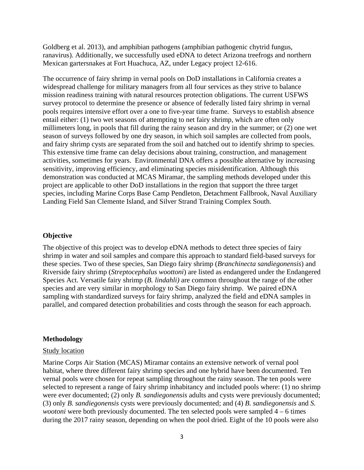Goldberg et al. 2013), and amphibian pathogens (amphibian pathogenic chytrid fungus, ranavirus). Additionally, we successfully used eDNA to detect Arizona treefrogs and northern Mexican gartersnakes at Fort Huachuca, AZ, under Legacy project 12-616.

The occurrence of fairy shrimp in vernal pools on DoD installations in California creates a widespread challenge for military managers from all four services as they strive to balance mission readiness training with natural resources protection obligations. The current USFWS survey protocol to determine the presence or absence of federally listed fairy shrimp in vernal pools requires intensive effort over a one to five-year time frame. Surveys to establish absence entail either: (1) two wet seasons of attempting to net fairy shrimp, which are often only millimeters long, in pools that fill during the rainy season and dry in the summer; or (2) one wet season of surveys followed by one dry season, in which soil samples are collected from pools, and fairy shrimp cysts are separated from the soil and hatched out to identify shrimp to species. This extensive time frame can delay decisions about training, construction, and management activities, sometimes for years. Environmental DNA offers a possible alternative by increasing sensitivity, improving efficiency, and eliminating species misidentification. Although this demonstration was conducted at MCAS Miramar, the sampling methods developed under this project are applicable to other DoD installations in the region that support the three target species, including Marine Corps Base Camp Pendleton, Detachment Fallbrook, Naval Auxiliary Landing Field San Clemente Island, and Silver Strand Training Complex South.

#### <span id="page-5-0"></span>**Objective**

The objective of this project was to develop eDNA methods to detect three species of fairy shrimp in water and soil samples and compare this approach to standard field-based surveys for these species. Two of these species, San Diego fairy shrimp (*Branchinecta sandiegonensis*) and Riverside fairy shrimp (*Streptocephalus woottoni*) are listed as endangered under the Endangered Species Act. Versatile fairy shrimp (*B. lindahli)* are common throughout the range of the other species and are very similar in morphology to San Diego fairy shrimp. We paired eDNA sampling with standardized surveys for fairy shrimp, analyzed the field and eDNA samples in parallel, and compared detection probabilities and costs through the season for each approach.

#### <span id="page-5-1"></span>**Methodology**

#### Study location

Marine Corps Air Station (MCAS) Miramar contains an extensive network of vernal pool habitat, where three different fairy shrimp species and one hybrid have been documented. Ten vernal pools were chosen for repeat sampling throughout the rainy season. The ten pools were selected to represent a range of fairy shrimp inhabitancy and included pools where: (1) no shrimp were ever documented; (2) only *B. sandiegonensis* adults and cysts were previously documented; (3) only *B. sandiegonensis* cysts were previously documented; and (4) *B. sandiegonensis* and *S. wootoni* were both previously documented. The ten selected pools were sampled 4 – 6 times during the 2017 rainy season, depending on when the pool dried. Eight of the 10 pools were also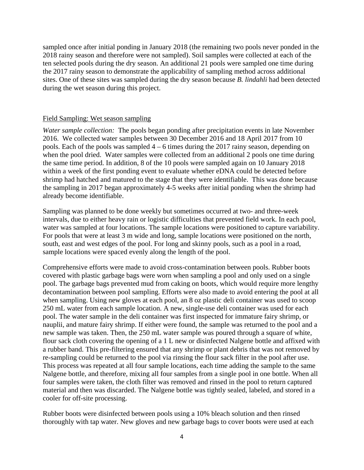sampled once after initial ponding in January 2018 (the remaining two pools never ponded in the 2018 rainy season and therefore were not sampled). Soil samples were collected at each of the ten selected pools during the dry season. An additional 21 pools were sampled one time during the 2017 rainy season to demonstrate the applicability of sampling method across additional sites. One of these sites was sampled during the dry season because *B. lindahli* had been detected during the wet season during this project.

#### Field Sampling: Wet season sampling

*Water sample collection:* The pools began ponding after precipitation events in late November 2016. We collected water samples between 30 December 2016 and 18 April 2017 from 10 pools. Each of the pools was sampled 4 – 6 times during the 2017 rainy season, depending on when the pool dried. Water samples were collected from an additional 2 pools one time during the same time period. In addition, 8 of the 10 pools were sampled again on 10 January 2018 within a week of the first ponding event to evaluate whether eDNA could be detected before shrimp had hatched and matured to the stage that they were identifiable. This was done because the sampling in 2017 began approximately 4-5 weeks after initial ponding when the shrimp had already become identifiable.

Sampling was planned to be done weekly but sometimes occurred at two- and three-week intervals, due to either heavy rain or logistic difficulties that prevented field work. In each pool, water was sampled at four locations. The sample locations were positioned to capture variability. For pools that were at least 3 m wide and long, sample locations were positioned on the north, south, east and west edges of the pool. For long and skinny pools, such as a pool in a road, sample locations were spaced evenly along the length of the pool.

Comprehensive efforts were made to avoid cross-contamination between pools. Rubber boots covered with plastic garbage bags were worn when sampling a pool and only used on a single pool. The garbage bags prevented mud from caking on boots, which would require more lengthy decontamination between pool sampling. Efforts were also made to avoid entering the pool at all when sampling. Using new gloves at each pool, an 8 oz plastic deli container was used to scoop 250 mL water from each sample location. A new, single-use deli container was used for each pool. The water sample in the deli container was first inspected for immature fairy shrimp, or nauplii, and mature fairy shrimp. If either were found, the sample was returned to the pool and a new sample was taken. Then, the 250 mL water sample was poured through a square of white, flour sack cloth covering the opening of a 1 L new or disinfected Nalgene bottle and affixed with a rubber band. This pre-filtering ensured that any shrimp or plant debris that was not removed by re-sampling could be returned to the pool via rinsing the flour sack filter in the pool after use. This process was repeated at all four sample locations, each time adding the sample to the same Nalgene bottle, and therefore, mixing all four samples from a single pool in one bottle. When all four samples were taken, the cloth filter was removed and rinsed in the pool to return captured material and then was discarded. The Nalgene bottle was tightly sealed, labeled, and stored in a cooler for off-site processing.

Rubber boots were disinfected between pools using a 10% bleach solution and then rinsed thoroughly with tap water. New gloves and new garbage bags to cover boots were used at each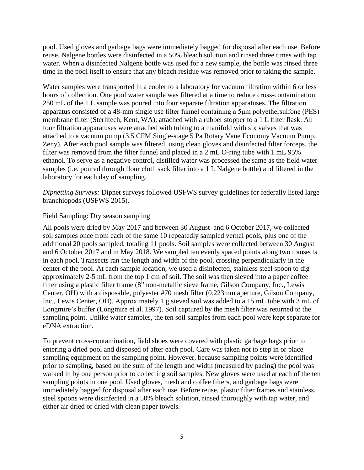pool. Used gloves and garbage bags were immediately bagged for disposal after each use. Before reuse, Nalgene bottles were disinfected in a 50% bleach solution and rinsed three times with tap water. When a disinfected Nalgene bottle was used for a new sample, the bottle was rinsed three time in the pool itself to ensure that any bleach residue was removed prior to taking the sample.

Water samples were transported in a cooler to a laboratory for vacuum filtration within 6 or less hours of collection. One pool water sample was filtered at a time to reduce cross-contamination. 250 mL of the 1 L sample was poured into four separate filtration apparatuses. The filtration apparatus consisted of a 48-mm single use filter funnel containing a 5μm polyethersulfone (PES) membrane filter (Sterlitech, Kent, WA), attached with a rubber stopper to a 1 L filter flask. All four filtration apparatuses were attached with tubing to a manifold with six valves that was attached to a vacuum pump (3.5 CFM Single-stage 5 Pa Rotary Vane Economy Vacuum Pump, Zeny). After each pool sample was filtered, using clean gloves and disinfected filter forceps, the filter was removed from the filter funnel and placed in a 2 mL O-ring tube with 1 mL 95% ethanol. To serve as a negative control, distilled water was processed the same as the field water samples (i.e. poured through flour cloth sack filter into a 1 L Nalgene bottle) and filtered in the laboratory for each day of sampling.

*Dipnetting Surveys:* Dipnet surveys followed USFWS survey guidelines for federally listed large branchiopods (USFWS 2015).

#### Field Sampling: Dry season sampling

All pools were dried by May 2017 and between 30 August and 6 October 2017, we collected soil samples once from each of the same 10 repeatedly sampled vernal pools, plus one of the additional 20 pools sampled, totaling 11 pools. Soil samples were collected between 30 August and 6 October 2017 and in May 2018. We sampled ten evenly spaced points along two transects in each pool. Transects ran the length and width of the pool, crossing perpendicularly in the center of the pool. At each sample location, we used a disinfected, stainless steel spoon to dig approximately 2-5 mL from the top 1 cm of soil. The soil was then sieved into a paper coffee filter using a plastic filter frame (8" non-metallic sieve frame, Gilson Company, Inc., Lewis Center, OH) with a disposable, polyester #70 mesh filter (0.223mm aperture, Gilson Company, Inc., Lewis Center, OH). Approximately 1 g sieved soil was added to a 15 mL tube with 3 mL of Longmire's buffer (Longmire et al. 1997). Soil captured by the mesh filter was returned to the sampling point. Unlike water samples, the ten soil samples from each pool were kept separate for eDNA extraction.

To prevent cross-contamination, field shoes were covered with plastic garbage bags prior to entering a dried pool and disposed of after each pool. Care was taken not to step in or place sampling equipment on the sampling point. However, because sampling points were identified prior to sampling, based on the sum of the length and width (measured by pacing) the pool was walked in by one person prior to collecting soil samples. New gloves were used at each of the ten sampling points in one pool. Used gloves, mesh and coffee filters, and garbage bags were immediately bagged for disposal after each use. Before reuse, plastic filter frames and stainless, steel spoons were disinfected in a 50% bleach solution, rinsed thoroughly with tap water, and either air dried or dried with clean paper towels.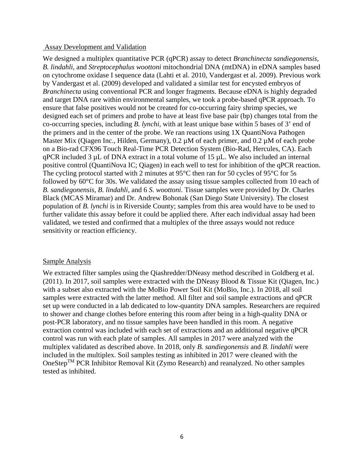#### Assay Development and Validation

We designed a multiplex quantitative PCR (qPCR) assay to detect *Branchinecta sandiegonensis*, *B. lindahli*, and *Streptocephalus woottoni* mitochondrial DNA (mtDNA) in eDNA samples based on cytochrome oxidase I sequence data (Lahti et al. 2010, Vandergast et al. 2009). Previous work by Vandergast et al. (2009) developed and validated a similar test for encysted embryos of *Branchinecta* using conventional PCR and longer fragments. Because eDNA is highly degraded and target DNA rare within environmental samples, we took a probe-based qPCR approach. To ensure that false positives would not be created for co-occurring fairy shrimp species, we designed each set of primers and probe to have at least five base pair (bp) changes total from the co-occurring species, including *B. lynchi*, with at least unique base within 5 bases of 3' end of the primers and in the center of the probe. We ran reactions using 1X QuantiNova Pathogen Master Mix (Qiagen Inc., Hilden, Germany), 0.2  $\mu$ M of each primer, and 0.2  $\mu$ M of each probe on a Bio-rad CFX96 Touch Real-Time PCR Detection System (Bio-Rad, Hercules, CA). Each qPCR included 3 µL of DNA extract in a total volume of 15 µL. We also included an internal positive control (QuantiNova IC; Qiagen) in each well to test for inhibition of the qPCR reaction. The cycling protocol started with 2 minutes at 95<sup>o</sup>C then ran for 50 cycles of 95<sup>o</sup>C for 5s followed by 60°C for 30s. We validated the assay using tissue samples collected from 10 each of *B. sandiegonensis*, *B. lindahli*, and 6 *S. woottoni*. Tissue samples were provided by Dr. Charles Black (MCAS Miramar) and Dr. Andrew Bohonak (San Diego State University). The closest population of *B. lynchi* is in Riverside County; samples from this area would have to be used to further validate this assay before it could be applied there. After each individual assay had been validated, we tested and confirmed that a multiplex of the three assays would not reduce sensitivity or reaction efficiency.

#### Sample Analysis

We extracted filter samples using the Qiashredder/DNeasy method described in Goldberg et al. (2011). In 2017, soil samples were extracted with the DNeasy Blood & Tissue Kit (Qiagen, Inc.) with a subset also extracted with the MoBio Power Soil Kit (MoBio, Inc.). In 2018, all soil samples were extracted with the latter method. All filter and soil sample extractions and qPCR set up were conducted in a lab dedicated to low-quantity DNA samples. Researchers are required to shower and change clothes before entering this room after being in a high-quality DNA or post-PCR laboratory, and no tissue samples have been handled in this room. A negative extraction control was included with each set of extractions and an additional negative qPCR control was run with each plate of samples. All samples in 2017 were analyzed with the multiplex validated as described above. In 2018, only *B. sandiegonensis* and *B. lindahli* were included in the multiplex. Soil samples testing as inhibited in 2017 were cleaned with the OneStep<sup>TM</sup> PCR Inhibitor Removal Kit (Zymo Research) and reanalyzed. No other samples tested as inhibited.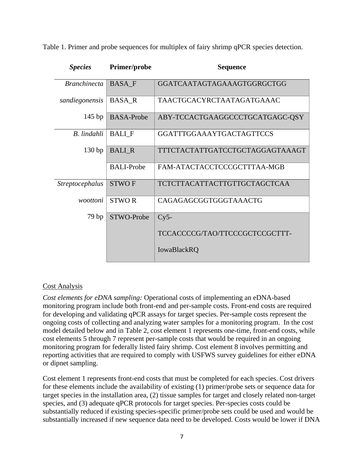Table 1. Primer and probe sequences for multiplex of fairy shrimp qPCR species detection.

| <b>Species</b>         | Primer/probe      | <b>Sequence</b>                     |
|------------------------|-------------------|-------------------------------------|
| <b>Branchinecta</b>    | <b>BASA F</b>     | GGATCAATAGTAGAAAGTGGRGCTGG          |
| sandiegonensis         | <b>BASA R</b>     | TAACTGCACYRCTAATAGATGAAAC           |
| $145$ bp               | <b>BASA-Probe</b> | ABY-TCCACTGAAGGCCCTGCATGAGC-QSY     |
| B. lindahli            | <b>BALIF</b>      | <b>GGATTTGGAAAYTGACTAGTTCCS</b>     |
| 130bp                  | <b>BALI R</b>     | TTTCTACTATTGATCCTGCTAGGAGTAAAGT     |
|                        | <b>BALI-Probe</b> | FAM-ATACTACCTCCCGCTTTAA-MGB         |
| <i>Streptocephalus</i> | <b>STWOF</b>      | <b>TCTCTTACATTACTTGTTGCTAGCTCAA</b> |
| woottoni               | <b>STWOR</b>      | CAGAGAGCGGTGGGTAAACTG               |
| 79 <sub>bp</sub>       | STWO-Probe        | $Cy5-$                              |
|                        |                   | TCCACCCCG/TAO/TTCCCGCTCCGCTTT-      |
|                        |                   | <b>IowaBlackRQ</b>                  |

#### Cost Analysis

*Cost elements for eDNA sampling:* Operational costs of implementing an eDNA-based monitoring program include both front-end and per-sample costs. Front-end costs are required for developing and validating qPCR assays for target species. Per-sample costs represent the ongoing costs of collecting and analyzing water samples for a monitoring program. In the cost model detailed below and in Table 2, cost element 1 represents one-time, front-end costs, while cost elements 5 through 7 represent per-sample costs that would be required in an ongoing monitoring program for federally listed fairy shrimp. Cost element 8 involves permitting and reporting activities that are required to comply with USFWS survey guidelines for either eDNA or dipnet sampling.

Cost element 1 represents front-end costs that must be completed for each species. Cost drivers for these elements include the availability of existing (1) primer/probe sets or sequence data for target species in the installation area, (2) tissue samples for target and closely related non-target species, and (3) adequate qPCR protocols for target species. Per-species costs could be substantially reduced if existing species-specific primer/probe sets could be used and would be substantially increased if new sequence data need to be developed. Costs would be lower if DNA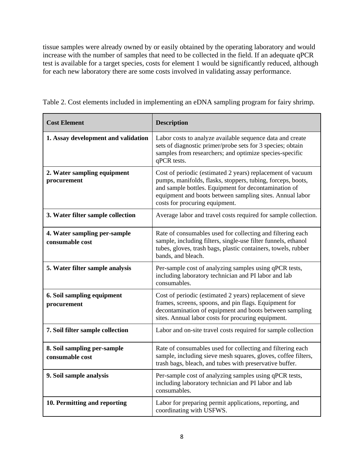tissue samples were already owned by or easily obtained by the operating laboratory and would increase with the number of samples that need to be collected in the field. If an adequate qPCR test is available for a target species, costs for element 1 would be significantly reduced, although for each new laboratory there are some costs involved in validating assay performance.

| Table 2. Cost elements included in implementing an eDNA sampling program for fairy shrimp. |  |  |
|--------------------------------------------------------------------------------------------|--|--|
|                                                                                            |  |  |

٦

| <b>Cost Element</b>                             | <b>Description</b>                                                                                                                                                                                                                                                              |
|-------------------------------------------------|---------------------------------------------------------------------------------------------------------------------------------------------------------------------------------------------------------------------------------------------------------------------------------|
| 1. Assay development and validation             | Labor costs to analyze available sequence data and create<br>sets of diagnostic primer/probe sets for 3 species; obtain<br>samples from researchers; and optimize species-specific<br>qPCR tests.                                                                               |
| 2. Water sampling equipment<br>procurement      | Cost of periodic (estimated 2 years) replacement of vacuum<br>pumps, manifolds, flasks, stoppers, tubing, forceps, boots,<br>and sample bottles. Equipment for decontamination of<br>equipment and boots between sampling sites. Annual labor<br>costs for procuring equipment. |
| 3. Water filter sample collection               | Average labor and travel costs required for sample collection.                                                                                                                                                                                                                  |
| 4. Water sampling per-sample<br>consumable cost | Rate of consumables used for collecting and filtering each<br>sample, including filters, single-use filter funnels, ethanol<br>tubes, gloves, trash bags, plastic containers, towels, rubber<br>bands, and bleach.                                                              |
| 5. Water filter sample analysis                 | Per-sample cost of analyzing samples using qPCR tests,<br>including laboratory technician and PI labor and lab<br>consumables.                                                                                                                                                  |
| 6. Soil sampling equipment<br>procurement       | Cost of periodic (estimated 2 years) replacement of sieve<br>frames, screens, spoons, and pin flags. Equipment for<br>decontamination of equipment and boots between sampling<br>sites. Annual labor costs for procuring equipment.                                             |
| 7. Soil filter sample collection                | Labor and on-site travel costs required for sample collection                                                                                                                                                                                                                   |
| 8. Soil sampling per-sample<br>consumable cost  | Rate of consumables used for collecting and filtering each<br>sample, including sieve mesh squares, gloves, coffee filters,<br>trash bags, bleach, and tubes with preservative buffer.                                                                                          |
| 9. Soil sample analysis                         | Per-sample cost of analyzing samples using qPCR tests,<br>including laboratory technician and PI labor and lab<br>consumables.                                                                                                                                                  |
| 10. Permitting and reporting                    | Labor for preparing permit applications, reporting, and<br>coordinating with USFWS.                                                                                                                                                                                             |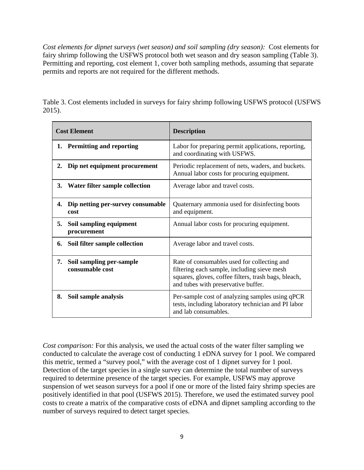*Cost elements for dipnet surveys (wet season) and soil sampling (dry season):* Cost elements for fairy shrimp following the USFWS protocol both wet season and dry season sampling (Table 3). Permitting and reporting, cost element 1, cover both sampling methods, assuming that separate permits and reports are not required for the different methods.

|        | Table 3. Cost elements included in surveys for fairy shrimp following USFWS protocol (USFWS |  |  |  |  |
|--------|---------------------------------------------------------------------------------------------|--|--|--|--|
| 2015). |                                                                                             |  |  |  |  |

| <b>Cost Element</b> |                                             | <b>Description</b>                                                                                                                                                                        |  |  |  |
|---------------------|---------------------------------------------|-------------------------------------------------------------------------------------------------------------------------------------------------------------------------------------------|--|--|--|
|                     | 1. Permitting and reporting                 | Labor for preparing permit applications, reporting,<br>and coordinating with USFWS.                                                                                                       |  |  |  |
| 2.                  | Dip net equipment procurement               | Periodic replacement of nets, waders, and buckets.<br>Annual labor costs for procuring equipment.                                                                                         |  |  |  |
|                     | 3. Water filter sample collection           | Average labor and travel costs.                                                                                                                                                           |  |  |  |
| 4.                  | Dip netting per-survey consumable<br>cost   | Quaternary ammonia used for disinfecting boots<br>and equipment.                                                                                                                          |  |  |  |
| 5.                  | Soil sampling equipment<br>procurement      | Annual labor costs for procuring equipment.                                                                                                                                               |  |  |  |
| 6.                  | Soil filter sample collection               | Average labor and travel costs.                                                                                                                                                           |  |  |  |
| 7.                  | Soil sampling per-sample<br>consumable cost | Rate of consumables used for collecting and<br>filtering each sample, including sieve mesh<br>squares, gloves, coffee filters, trash bags, bleach,<br>and tubes with preservative buffer. |  |  |  |
| 8.                  | Soil sample analysis                        | Per-sample cost of analyzing samples using qPCR<br>tests, including laboratory technician and PI labor<br>and lab consumables.                                                            |  |  |  |

*Cost comparison:* For this analysis, we used the actual costs of the water filter sampling we conducted to calculate the average cost of conducting 1 eDNA survey for 1 pool. We compared this metric, termed a "survey pool," with the average cost of 1 dipnet survey for 1 pool. Detection of the target species in a single survey can determine the total number of surveys required to determine presence of the target species. For example, USFWS may approve suspension of wet season surveys for a pool if one or more of the listed fairy shrimp species are positively identified in that pool (USFWS 2015). Therefore, we used the estimated survey pool costs to create a matrix of the comparative costs of eDNA and dipnet sampling according to the number of surveys required to detect target species.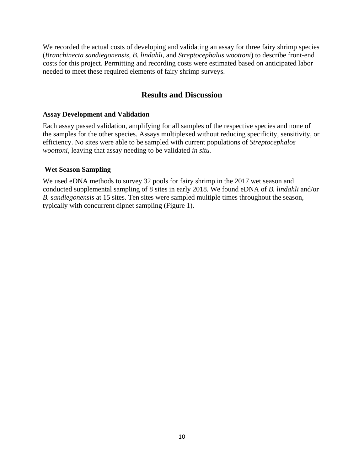We recorded the actual costs of developing and validating an assay for three fairy shrimp species (*Branchinecta sandiegonensis*, *B. lindahli*, and *Streptocephalus woottoni*) to describe front-end costs for this project. Permitting and recording costs were estimated based on anticipated labor needed to meet these required elements of fairy shrimp surveys.

#### **Results and Discussion**

#### <span id="page-12-0"></span>**Assay Development and Validation**

Each assay passed validation, amplifying for all samples of the respective species and none of the samples for the other species. Assays multiplexed without reducing specificity, sensitivity, or efficiency. No sites were able to be sampled with current populations of *Streptocephalos woottoni,* leaving that assay needing to be validated *in situ.* 

#### **Wet Season Sampling**

We used eDNA methods to survey 32 pools for fairy shrimp in the 2017 wet season and conducted supplemental sampling of 8 sites in early 2018. We found eDNA of *B. lindahli* and/or *B. sandiegonensis* at 15 sites. Ten sites were sampled multiple times throughout the season, typically with concurrent dipnet sampling (Figure 1).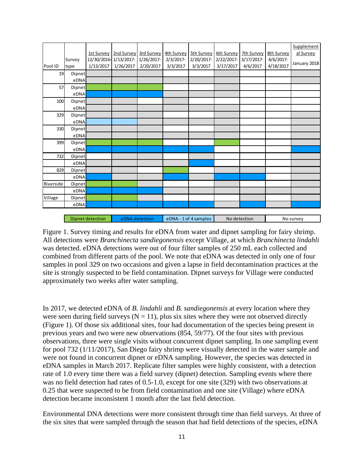|           |                  | 1st Survey | 2nd Survey            | 3rd Survey     | 4th Survey | <b>5th Survey</b>     | 6th Survey | 7th Survey   | <b>8th Survey</b> | Supplement<br>al Survey |
|-----------|------------------|------------|-----------------------|----------------|------------|-----------------------|------------|--------------|-------------------|-------------------------|
|           | Survey           |            | 12/30/2016-1/13/2017- | 1/26/2017-     | 2/3/2017-  | 2/20/2017-            | 2/22/2017- | 3/17/2017-   | 4/6/2017-         |                         |
| Pool ID   | type             | 1/13/2017  | 1/26/2017             | 2/20/2017      | 3/3/2017   | 3/3/2017              | 3/17/2017  | 4/6/2017     | 4/18/2017         | January 2018            |
| 19        | Dipnet           |            |                       |                |            |                       |            |              |                   |                         |
|           | eDNA             |            |                       |                |            |                       |            |              |                   |                         |
| 57        | Dipnet           |            |                       |                |            |                       |            |              |                   |                         |
|           | eDNA             |            |                       |                |            |                       |            |              |                   |                         |
| 100       | Dipnet           |            |                       |                |            |                       |            |              |                   |                         |
|           | eDNA             |            |                       |                |            |                       |            |              |                   |                         |
| 329       | Dipnet           |            |                       |                |            |                       |            |              |                   |                         |
|           | eDNA             |            |                       |                |            |                       |            |              |                   |                         |
| 330       | Dipnet           |            |                       |                |            |                       |            |              |                   |                         |
|           | eDNA             |            |                       |                |            |                       |            |              |                   |                         |
| 399       | Dipnet           |            |                       |                |            |                       |            |              |                   |                         |
|           | eDNA             |            |                       |                |            |                       |            |              |                   |                         |
| 732       | Dipnet           |            |                       |                |            |                       |            |              |                   |                         |
|           | eDNA             |            |                       |                |            |                       |            |              |                   |                         |
| 829       | Dipnet           |            |                       |                |            |                       |            |              |                   |                         |
|           | eDNA             |            |                       |                |            |                       |            |              |                   |                         |
| Riverside | Dipnet           |            |                       |                |            |                       |            |              |                   |                         |
|           | eDNA             |            |                       |                |            |                       |            |              |                   |                         |
| Village   | Dipnet           |            |                       |                |            |                       |            |              |                   |                         |
|           | eDNA             |            |                       |                |            |                       |            |              |                   |                         |
|           |                  |            |                       |                |            |                       |            |              |                   |                         |
|           | Dipnet detection |            |                       | eDNA detection |            | eDNA - 1 of 4 samples |            | No detection |                   | No survey               |

Figure 1. Survey timing and results for eDNA from water and dipnet sampling for fairy shrimp. All detections were *Branchinecta sandiegonensis* except Village, at which *Branchinecta lindahli* was detected*.* eDNA detections were out of four filter samples of 250 mL each collected and combined from different parts of the pool. We note that eDNA was detected in only one of four samples in pool 329 on two occasions and given a lapse in field decontamination practices at the site is strongly suspected to be field contamination. Dipnet surveys for Village were conducted approximately two weeks after water sampling.

In 2017, we detected eDNA of *B. lindahli* and *B. sandiegonensis* at every location where they were seen during field surveys ( $N = 11$ ), plus six sites where they were not observed directly (Figure 1). Of those six additional sites, four had documentation of the species being present in previous years and two were new observations (854, 59/77). Of the four sites with previous observations, three were single visits without concurrent dipnet sampling. In one sampling event for pool 732 (1/11/2017), San Diego fairy shrimp were visually detected in the water sample and were not found in concurrent dipnet or eDNA sampling. However, the species was detected in eDNA samples in March 2017. Replicate filter samples were highly consistent, with a detection rate of 1.0 every time there was a field survey (dipnet) detection. Sampling events where there was no field detection had rates of 0.5-1.0, except for one site (329) with two observations at 0.25 that were suspected to be from field contamination and one site (Village) where eDNA detection became inconsistent 1 month after the last field detection.

Environmental DNA detections were more consistent through time than field surveys. At three of the six sites that were sampled through the season that had field detections of the species, eDNA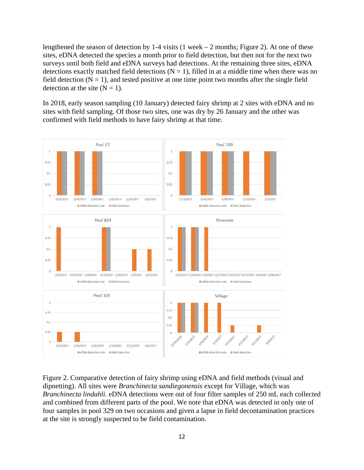lengthened the season of detection by 1-4 visits  $(1 \text{ week} - 2 \text{ months}; \text{Figure 2})$ . At one of these sites, eDNA detected the species a month prior to field detection, but then not for the next two surveys until both field and eDNA surveys had detections. At the remaining three sites, eDNA detections exactly matched field detections  $(N = 1)$ , filled in at a middle time when there was no field detection  $(N = 1)$ , and tested positive at one time point two months after the single field detection at the site  $(N = 1)$ .

In 2018, early season sampling (10 January) detected fairy shrimp at 2 sites with eDNA and no sites with field sampling. Of those two sites, one was dry by 26 January and the other was confirmed with field methods to have fairy shrimp at that time.



Figure 2. Comparative detection of fairy shrimp using eDNA and field methods (visual and dipnetting). All sites were *Branchinecta sandiegonensis* except for Village, which was *Branchinecta lindahli.* eDNA detections were out of four filter samples of 250 mL each collected and combined from different parts of the pool. We note that eDNA was detected in only one of four samples in pool 329 on two occasions and given a lapse in field decontamination practices at the site is strongly suspected to be field contamination.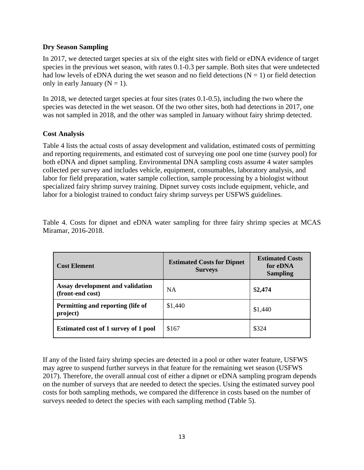#### **Dry Season Sampling**

In 2017, we detected target species at six of the eight sites with field or eDNA evidence of target species in the previous wet season, with rates 0.1-0.3 per sample. Both sites that were undetected had low levels of eDNA during the wet season and no field detections ( $N = 1$ ) or field detection only in early January  $(N = 1)$ .

In 2018, we detected target species at four sites (rates 0.1-0.5), including the two where the species was detected in the wet season. Of the two other sites, both had detections in 2017, one was not sampled in 2018, and the other was sampled in January without fairy shrimp detected.

#### **Cost Analysis**

Table 4 lists the actual costs of assay development and validation, estimated costs of permitting and reporting requirements, and estimated cost of surveying one pool one time (survey pool) for both eDNA and dipnet sampling. Environmental DNA sampling costs assume 4 water samples collected per survey and includes vehicle, equipment, consumables, laboratory analysis, and labor for field preparation, water sample collection, sample processing by a biologist without specialized fairy shrimp survey training. Dipnet survey costs include equipment, vehicle, and labor for a biologist trained to conduct fairy shrimp surveys per USFWS guidelines.

Table 4. Costs for dipnet and eDNA water sampling for three fairy shrimp species at MCAS Miramar, 2016-2018.

| <b>Cost Element</b>                                  | <b>Estimated Costs for Dipnet</b><br><b>Surveys</b> | <b>Estimated Costs</b><br>for eDNA<br><b>Sampling</b> |  |
|------------------------------------------------------|-----------------------------------------------------|-------------------------------------------------------|--|
| Assay development and validation<br>(front-end cost) | <b>NA</b>                                           | \$2,474                                               |  |
| Permitting and reporting (life of<br>project)        | \$1,440                                             | \$1,440                                               |  |
| <b>Estimated cost of 1 survey of 1 pool</b>          | \$167                                               | \$324                                                 |  |

If any of the listed fairy shrimp species are detected in a pool or other water feature, USFWS may agree to suspend further surveys in that feature for the remaining wet season (USFWS 2017). Therefore, the overall annual cost of either a dipnet or eDNA sampling program depends on the number of surveys that are needed to detect the species. Using the estimated survey pool costs for both sampling methods, we compared the difference in costs based on the number of surveys needed to detect the species with each sampling method (Table 5).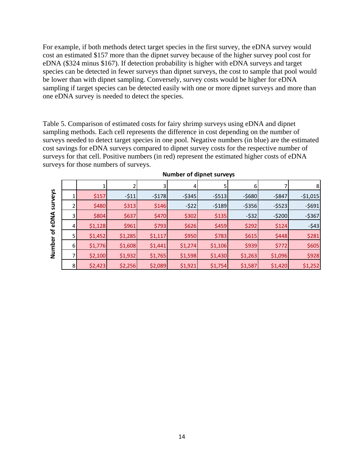For example, if both methods detect target species in the first survey, the eDNA survey would cost an estimated \$157 more than the dipnet survey because of the higher survey pool cost for eDNA (\$324 minus \$167). If detection probability is higher with eDNA surveys and target species can be detected in fewer surveys than dipnet surveys, the cost to sample that pool would be lower than with dipnet sampling. Conversely, survey costs would be higher for eDNA sampling if target species can be detected easily with one or more dipnet surveys and more than one eDNA survey is needed to detect the species.

Table 5. Comparison of estimated costs for fairy shrimp surveys using eDNA and dipnet sampling methods. Each cell represents the difference in cost depending on the number of surveys needed to detect target species in one pool. Negative numbers (in blue) are the estimated cost savings for eDNA surveys compared to dipnet survey costs for the respective number of surveys for that cell. Positive numbers (in red) represent the estimated higher costs of eDNA surveys for those numbers of surveys.

|              |                |         |         | 3       | 4         |           | 6         |           | 8         |
|--------------|----------------|---------|---------|---------|-----------|-----------|-----------|-----------|-----------|
| veys         |                | \$157   | $-511$  | $-5178$ | $-$ \$345 | $-$ \$513 | $-$ \$680 | $-$ \$847 | $-51,015$ |
| ូ            |                | \$480   | \$313   | \$146   | $-522$    | $-5189$   | $-$ \$356 | $-$ \$523 | $-5691$   |
| ℥            |                | \$804   | \$637   | \$470   | \$302     | \$135     | $-$ \$32  | $-5200$   | $-$ \$367 |
| $\mathbf{e}$ | 4              | \$1,128 | \$961   | \$793   | \$626     | \$459     | \$292     | \$124     | $-543$    |
| ৳            |                | \$1,452 | \$1,285 | \$1,117 | \$950     | \$783     | \$615     | \$448     | \$281     |
| ω<br>흠       | 6              | \$1,776 | \$1,608 | \$1,441 | \$1,274   | \$1,106   | \$939     | \$772     | \$605     |
| ş            |                | \$2,100 | \$1,932 | \$1,765 | \$1,598   | \$1,430   | \$1,263   | \$1,096   | \$928     |
|              | 8 <sub>l</sub> | \$2,423 | \$2,256 | \$2,089 | \$1,921   | \$1,754   | \$1,587   | \$1,420   | \$1,252   |

**Number of dipnet surveys**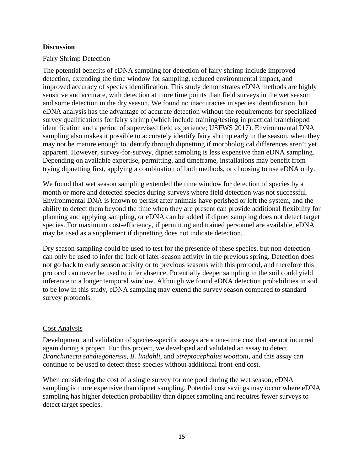#### **Discussion**

#### Fairy Shrimp Detection

The potential benefits of eDNA sampling for detection of fairy shrimp include improved detection, extending the time window for sampling, reduced environmental impact, and improved accuracy of species identification. This study demonstrates eDNA methods are highly sensitive and accurate, with detection at more time points than field surveys in the wet season and some detection in the dry season. We found no inaccuracies in species identification, but eDNA analysis has the advantage of accurate detection without the requirements for specialized survey qualifications for fairy shrimp (which include training/testing in practical branchiopod identification and a period of supervised field experience; USFWS 2017). Environmental DNA sampling also makes it possible to accurately identify fairy shrimp early in the season, when they may not be mature enough to identify through dipnetting if morphological differences aren't yet apparent. However, survey-for-survey, dipnet sampling is less expensive than eDNA sampling. Depending on available expertise, permitting, and timeframe, installations may benefit from trying dipnetting first, applying a combination of both methods, or choosing to use eDNA only.

We found that wet season sampling extended the time window for detection of species by a month or more and detected species during surveys where field detection was not successful. Environmental DNA is known to persist after animals have perished or left the system, and the ability to detect them beyond the time when they are present can provide additional flexibility for planning and applying sampling, or eDNA can be added if dipnet sampling does not detect target species. For maximum cost-efficiency, if permitting and trained personnel are available, eDNA may be used as a supplement if dipnetting does not indicate detection.

Dry season sampling could be used to test for the presence of these species, but non-detection can only be used to infer the lack of later-season activity in the previous spring. Detection does not go back to early season activity or to previous seasons with this protocol, and therefore this protocol can never be used to infer absence. Potentially deeper sampling in the soil could yield inference to a longer temporal window. Although we found eDNA detection probabilities in soil to be low in this study, eDNA sampling may extend the survey season compared to standard survey protocols.

#### Cost Analysis

Development and validation of species-specific assays are a one-time cost that are not incurred again during a project. For this project, we developed and validated an assay to detect *Branchinecta sandiegonensis*, *B. lindahli*, and *Streptocephalus woottoni*, and this assay can continue to be used to detect these species without additional front-end cost.

When considering the cost of a single survey for one pool during the wet season, eDNA sampling is more expensive than dipnet sampling. Potential cost savings may occur where eDNA sampling has higher detection probability than dipnet sampling and requires fewer surveys to detect target species.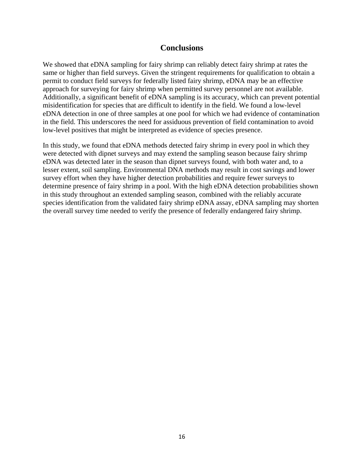#### **Conclusions**

<span id="page-18-0"></span>We showed that eDNA sampling for fairy shrimp can reliably detect fairy shrimp at rates the same or higher than field surveys. Given the stringent requirements for qualification to obtain a permit to conduct field surveys for federally listed fairy shrimp, eDNA may be an effective approach for surveying for fairy shrimp when permitted survey personnel are not available. Additionally, a significant benefit of eDNA sampling is its accuracy, which can prevent potential misidentification for species that are difficult to identify in the field. We found a low-level eDNA detection in one of three samples at one pool for which we had evidence of contamination in the field. This underscores the need for assiduous prevention of field contamination to avoid low-level positives that might be interpreted as evidence of species presence.

<span id="page-18-1"></span>In this study, we found that eDNA methods detected fairy shrimp in every pool in which they were detected with dipnet surveys and may extend the sampling season because fairy shrimp eDNA was detected later in the season than dipnet surveys found, with both water and, to a lesser extent, soil sampling. Environmental DNA methods may result in cost savings and lower survey effort when they have higher detection probabilities and require fewer surveys to determine presence of fairy shrimp in a pool. With the high eDNA detection probabilities shown in this study throughout an extended sampling season, combined with the reliably accurate species identification from the validated fairy shrimp eDNA assay, eDNA sampling may shorten the overall survey time needed to verify the presence of federally endangered fairy shrimp.